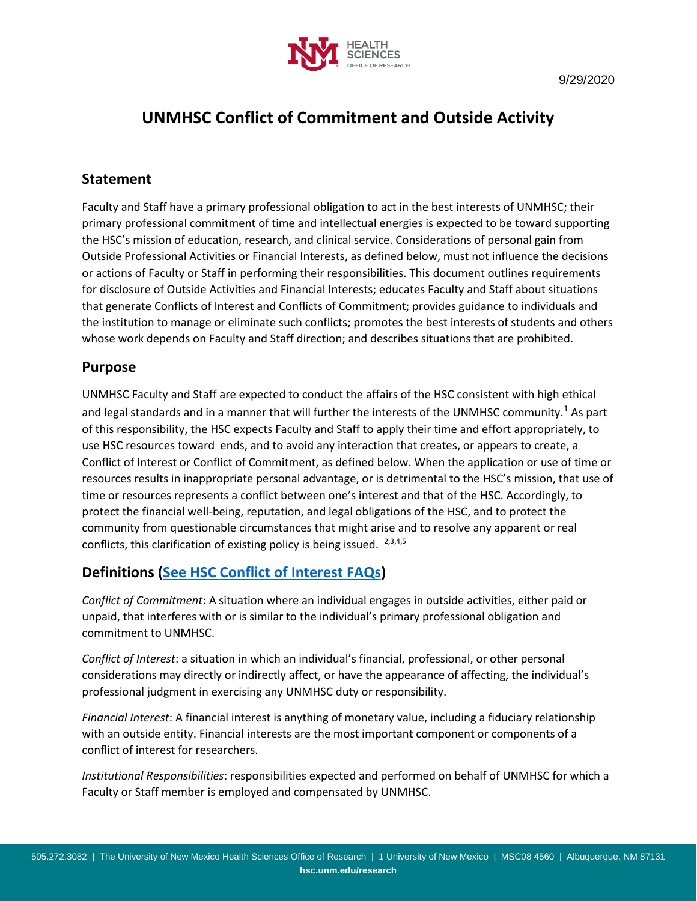

# **UNMHSC Conflict of Commitment and Outside Activity**

### **Statement**

Faculty and Staff have a primary professional obligation to act in the best interests of UNMHSC; their primary professional commitment of time and intellectual energies is expected to be toward supporting the HSC's mission of education, research, and clinical service. Considerations of personal gain from Outside Professional Activities or Financial Interests, as defined below, must not influence the decisions or actions of Faculty or Staff in performing their responsibilities. This document outlines requirements for disclosure of Outside Activities and Financial Interests; educates Faculty and Staff about situations that generate Conflicts of Interest and Conflicts of Commitment; provides guidance to individuals and the institution to manage or eliminate such conflicts; promotes the best interests of students and others whose work depends on Faculty and Staff direction; and describes situations that are prohibited.

### **Purpose**

UNMHSC Faculty and Staff are expected to conduct the affairs of the HSC consistent with high ethical and legal standards and in a manner that will further the interests of the UNMHSC community.<sup>1</sup> As part of this responsibility, the HSC expects Faculty and Staff to apply their time and effort appropriately, to use HSC resources toward ends, and to avoid any interaction that creates, or appears to create, a Conflict of Interest or Conflict of Commitment, as defined below. When the application or use of time or resources results in inappropriate personal advantage, or is detrimental to the HSC's mission, that use of time or resources represents a conflict between one's interest and that of the HSC. Accordingly, to protect the financial well-being, reputation, and legal obligations of the HSC, and to protect the community from questionable circumstances that might arise and to resolve any apparent or real conflicts, this clarification of existing policy is being issued.  $2,3,4,5$ 

### **Definitions [\(See HSC Conflict of Interest FAQs\)](https://hsc.unm.edu/research/coi/common/pdf/coi-faq.pdf)**

*Conflict of Commitment*: A situation where an individual engages in outside activities, either paid or unpaid, that interferes with or is similar to the individual's primary professional obligation and commitment to UNMHSC.

*Conflict of Interest*: a situation in which an individual's financial, professional, or other personal considerations may directly or indirectly affect, or have the appearance of affecting, the individual's professional judgment in exercising any UNMHSC duty or responsibility.

*Financial Interest*: A financial interest is anything of monetary value, including a fiduciary relationship with an outside entity. Financial interests are the most important component or components of a conflict of interest for researchers.

*Institutional Responsibilities*: responsibilities expected and performed on behalf of UNMHSC for which a Faculty or Staff member is employed and compensated by UNMHSC.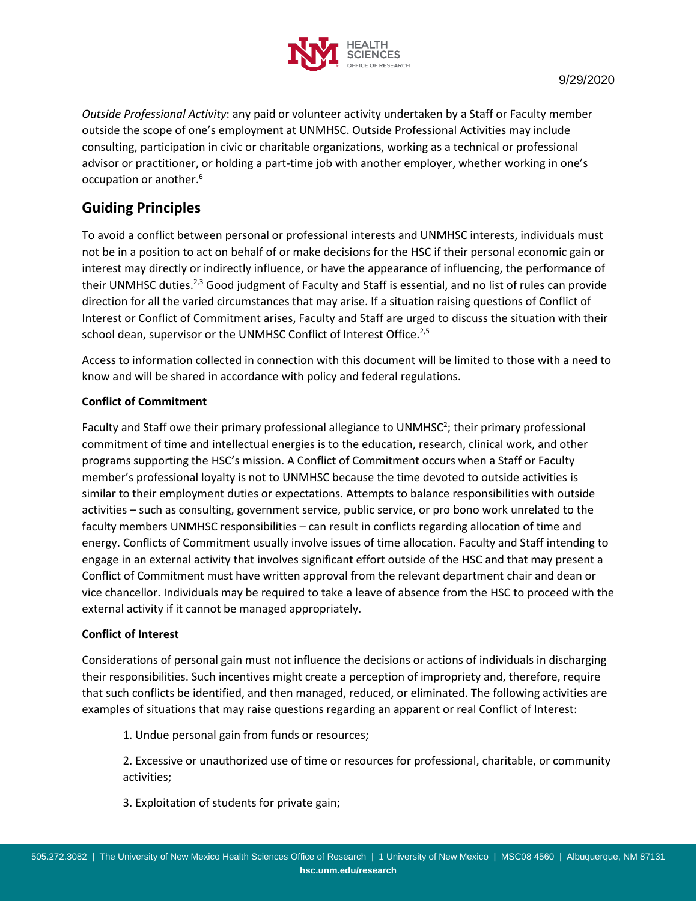

*Outside Professional Activity*: any paid or volunteer activity undertaken by a Staff or Faculty member outside the scope of one's employment at UNMHSC. Outside Professional Activities may include consulting, participation in civic or charitable organizations, working as a technical or professional advisor or practitioner, or holding a part-time job with another employer, whether working in one's occupation or another.<sup>6</sup>

### **Guiding Principles**

To avoid a conflict between personal or professional interests and UNMHSC interests, individuals must not be in a position to act on behalf of or make decisions for the HSC if their personal economic gain or interest may directly or indirectly influence, or have the appearance of influencing, the performance of their UNMHSC duties.<sup>2,3</sup> Good judgment of Faculty and Staff is essential, and no list of rules can provide direction for all the varied circumstances that may arise. If a situation raising questions of Conflict of Interest or Conflict of Commitment arises, Faculty and Staff are urged to discuss the situation with their school dean, supervisor or the UNMHSC Conflict of Interest Office.<sup>2,5</sup>

Access to information collected in connection with this document will be limited to those with a need to know and will be shared in accordance with policy and federal regulations.

#### **Conflict of Commitment**

Faculty and Staff owe their primary professional allegiance to UNMHSC<sup>2</sup>; their primary professional commitment of time and intellectual energies is to the education, research, clinical work, and other programs supporting the HSC's mission. A Conflict of Commitment occurs when a Staff or Faculty member's professional loyalty is not to UNMHSC because the time devoted to outside activities is similar to their employment duties or expectations. Attempts to balance responsibilities with outside activities – such as consulting, government service, public service, or pro bono work unrelated to the faculty members UNMHSC responsibilities – can result in conflicts regarding allocation of time and energy. Conflicts of Commitment usually involve issues of time allocation. Faculty and Staff intending to engage in an external activity that involves significant effort outside of the HSC and that may present a Conflict of Commitment must have written approval from the relevant department chair and dean or vice chancellor. Individuals may be required to take a leave of absence from the HSC to proceed with the external activity if it cannot be managed appropriately.

#### **Conflict of Interest**

Considerations of personal gain must not influence the decisions or actions of individuals in discharging their responsibilities. Such incentives might create a perception of impropriety and, therefore, require that such conflicts be identified, and then managed, reduced, or eliminated. The following activities are examples of situations that may raise questions regarding an apparent or real Conflict of Interest:

1. Undue personal gain from funds or resources;

2. Excessive or unauthorized use of time or resources for professional, charitable, or community activities;

3. Exploitation of students for private gain;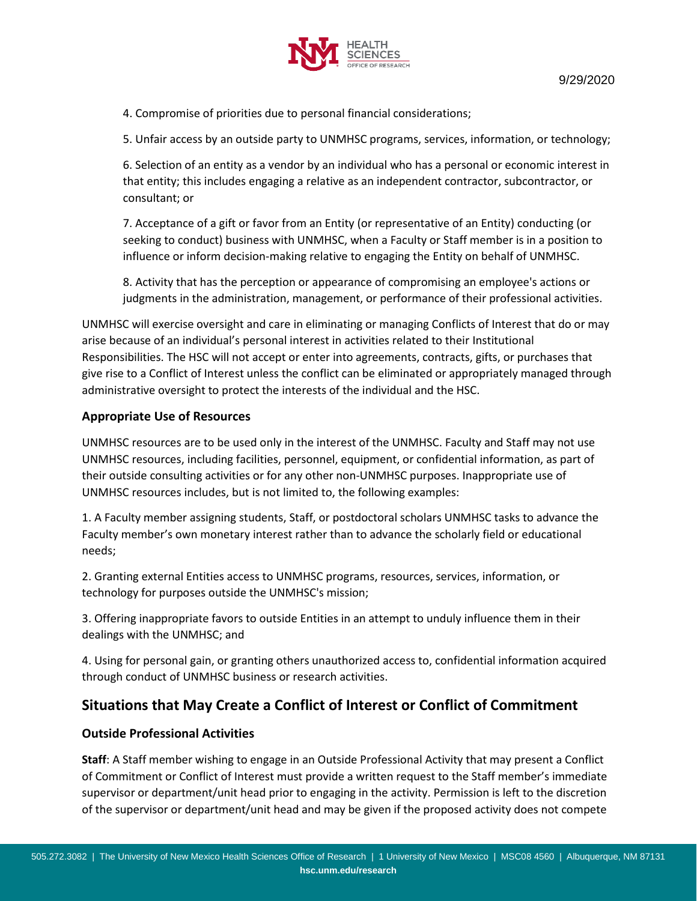

4. Compromise of priorities due to personal financial considerations;

5. Unfair access by an outside party to UNMHSC programs, services, information, or technology;

6. Selection of an entity as a vendor by an individual who has a personal or economic interest in that entity; this includes engaging a relative as an independent contractor, subcontractor, or consultant; or

7. Acceptance of a gift or favor from an Entity (or representative of an Entity) conducting (or seeking to conduct) business with UNMHSC, when a Faculty or Staff member is in a position to influence or inform decision-making relative to engaging the Entity on behalf of UNMHSC.

8. Activity that has the perception or appearance of compromising an employee's actions or judgments in the administration, management, or performance of their professional activities.

UNMHSC will exercise oversight and care in eliminating or managing Conflicts of Interest that do or may arise because of an individual's personal interest in activities related to their Institutional Responsibilities. The HSC will not accept or enter into agreements, contracts, gifts, or purchases that give rise to a Conflict of Interest unless the conflict can be eliminated or appropriately managed through administrative oversight to protect the interests of the individual and the HSC.

#### **Appropriate Use of Resources**

UNMHSC resources are to be used only in the interest of the UNMHSC. Faculty and Staff may not use UNMHSC resources, including facilities, personnel, equipment, or confidential information, as part of their outside consulting activities or for any other non-UNMHSC purposes. Inappropriate use of UNMHSC resources includes, but is not limited to, the following examples:

1. A Faculty member assigning students, Staff, or postdoctoral scholars UNMHSC tasks to advance the Faculty member's own monetary interest rather than to advance the scholarly field or educational needs;

2. Granting external Entities access to UNMHSC programs, resources, services, information, or technology for purposes outside the UNMHSC's mission;

3. Offering inappropriate favors to outside Entities in an attempt to unduly influence them in their dealings with the UNMHSC; and

4. Using for personal gain, or granting others unauthorized access to, confidential information acquired through conduct of UNMHSC business or research activities.

### **Situations that May Create a Conflict of Interest or Conflict of Commitment**

#### **Outside Professional Activities**

**Staff**: A Staff member wishing to engage in an Outside Professional Activity that may present a Conflict of Commitment or Conflict of Interest must provide a written request to the Staff member's immediate supervisor or department/unit head prior to engaging in the activity. Permission is left to the discretion of the supervisor or department/unit head and may be given if the proposed activity does not compete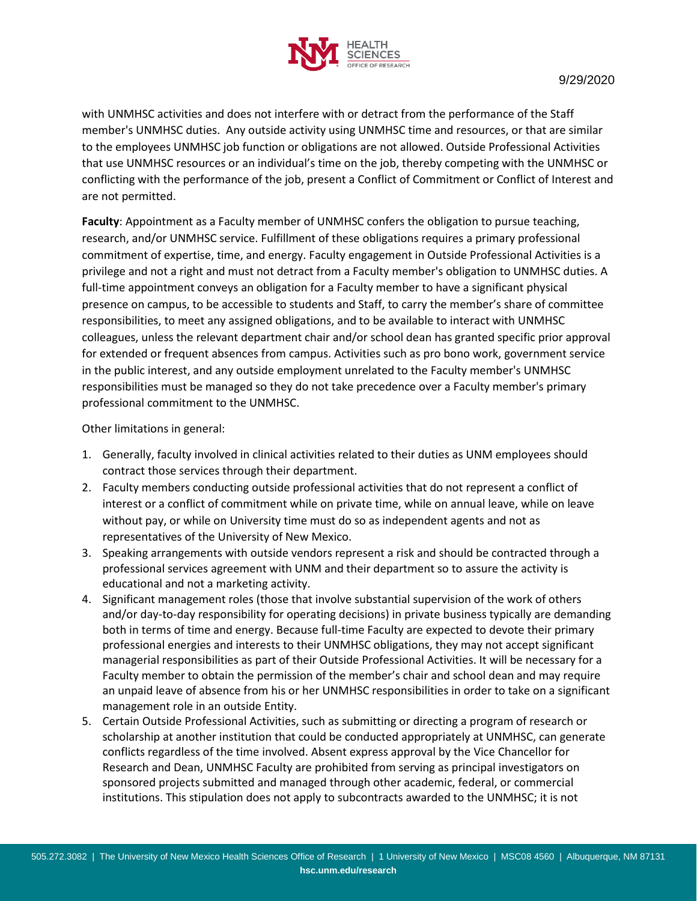

9/29/2020

with UNMHSC activities and does not interfere with or detract from the performance of the Staff member's UNMHSC duties. Any outside activity using UNMHSC time and resources, or that are similar to the employees UNMHSC job function or obligations are not allowed. Outside Professional Activities that use UNMHSC resources or an individual's time on the job, thereby competing with the UNMHSC or conflicting with the performance of the job, present a Conflict of Commitment or Conflict of Interest and are not permitted.

**Faculty**: Appointment as a Faculty member of UNMHSC confers the obligation to pursue teaching, research, and/or UNMHSC service. Fulfillment of these obligations requires a primary professional commitment of expertise, time, and energy. Faculty engagement in Outside Professional Activities is a privilege and not a right and must not detract from a Faculty member's obligation to UNMHSC duties. A full-time appointment conveys an obligation for a Faculty member to have a significant physical presence on campus, to be accessible to students and Staff, to carry the member's share of committee responsibilities, to meet any assigned obligations, and to be available to interact with UNMHSC colleagues, unless the relevant department chair and/or school dean has granted specific prior approval for extended or frequent absences from campus. Activities such as pro bono work, government service in the public interest, and any outside employment unrelated to the Faculty member's UNMHSC responsibilities must be managed so they do not take precedence over a Faculty member's primary professional commitment to the UNMHSC.

Other limitations in general:

- 1. Generally, faculty involved in clinical activities related to their duties as UNM employees should contract those services through their department.
- 2. Faculty members conducting outside professional activities that do not represent a conflict of interest or a conflict of commitment while on private time, while on annual leave, while on leave without pay, or while on University time must do so as independent agents and not as representatives of the University of New Mexico.
- 3. Speaking arrangements with outside vendors represent a risk and should be contracted through a professional services agreement with UNM and their department so to assure the activity is educational and not a marketing activity.
- 4. Significant management roles (those that involve substantial supervision of the work of others and/or day-to-day responsibility for operating decisions) in private business typically are demanding both in terms of time and energy. Because full-time Faculty are expected to devote their primary professional energies and interests to their UNMHSC obligations, they may not accept significant managerial responsibilities as part of their Outside Professional Activities. It will be necessary for a Faculty member to obtain the permission of the member's chair and school dean and may require an unpaid leave of absence from his or her UNMHSC responsibilities in order to take on a significant management role in an outside Entity.
- 5. Certain Outside Professional Activities, such as submitting or directing a program of research or scholarship at another institution that could be conducted appropriately at UNMHSC, can generate conflicts regardless of the time involved. Absent express approval by the Vice Chancellor for Research and Dean, UNMHSC Faculty are prohibited from serving as principal investigators on sponsored projects submitted and managed through other academic, federal, or commercial institutions. This stipulation does not apply to subcontracts awarded to the UNMHSC; it is not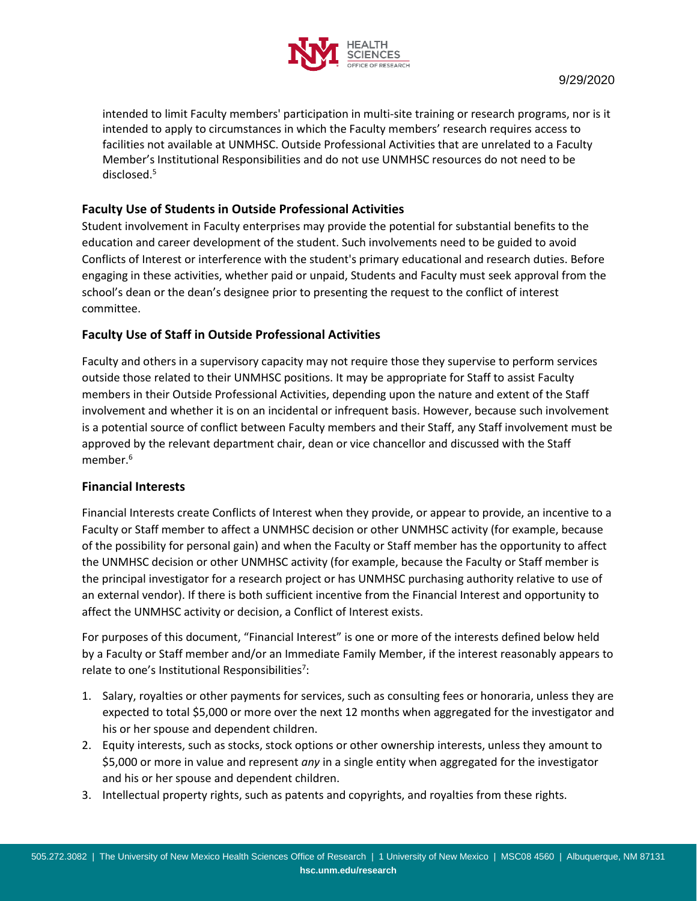

intended to limit Faculty members' participation in multi-site training or research programs, nor is it intended to apply to circumstances in which the Faculty members' research requires access to facilities not available at UNMHSC. Outside Professional Activities that are unrelated to a Faculty Member's Institutional Responsibilities and do not use UNMHSC resources do not need to be disclosed.<sup>5</sup>

#### **Faculty Use of Students in Outside Professional Activities**

Student involvement in Faculty enterprises may provide the potential for substantial benefits to the education and career development of the student. Such involvements need to be guided to avoid Conflicts of Interest or interference with the student's primary educational and research duties. Before engaging in these activities, whether paid or unpaid, Students and Faculty must seek approval from the school's dean or the dean's designee prior to presenting the request to the conflict of interest committee.

#### **Faculty Use of Staff in Outside Professional Activities**

Faculty and others in a supervisory capacity may not require those they supervise to perform services outside those related to their UNMHSC positions. It may be appropriate for Staff to assist Faculty members in their Outside Professional Activities, depending upon the nature and extent of the Staff involvement and whether it is on an incidental or infrequent basis. However, because such involvement is a potential source of conflict between Faculty members and their Staff, any Staff involvement must be approved by the relevant department chair, dean or vice chancellor and discussed with the Staff member.<sup>6</sup>

#### **Financial Interests**

Financial Interests create Conflicts of Interest when they provide, or appear to provide, an incentive to a Faculty or Staff member to affect a UNMHSC decision or other UNMHSC activity (for example, because of the possibility for personal gain) and when the Faculty or Staff member has the opportunity to affect the UNMHSC decision or other UNMHSC activity (for example, because the Faculty or Staff member is the principal investigator for a research project or has UNMHSC purchasing authority relative to use of an external vendor). If there is both sufficient incentive from the Financial Interest and opportunity to affect the UNMHSC activity or decision, a Conflict of Interest exists.

For purposes of this document, "Financial Interest" is one or more of the interests defined below held by a Faculty or Staff member and/or an Immediate Family Member, if the interest reasonably appears to relate to one's Institutional Responsibilities<sup>7</sup>:

- 1. Salary, royalties or other payments for services, such as consulting fees or honoraria, unless they are expected to total \$5,000 or more over the next 12 months when aggregated for the investigator and his or her spouse and dependent children.
- 2. Equity interests, such as stocks, stock options or other ownership interests, unless they amount to \$5,000 or more in value and represent *any* in a single entity when aggregated for the investigator and his or her spouse and dependent children.
- 3. Intellectual property rights, such as patents and copyrights, and royalties from these rights.